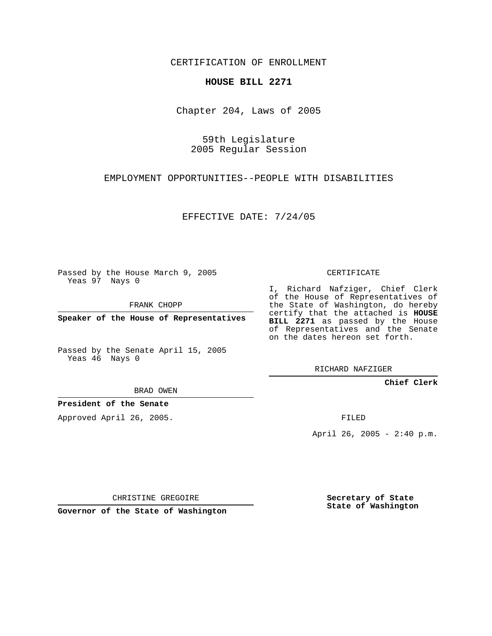CERTIFICATION OF ENROLLMENT

## **HOUSE BILL 2271**

Chapter 204, Laws of 2005

59th Legislature 2005 Regular Session

EMPLOYMENT OPPORTUNITIES--PEOPLE WITH DISABILITIES

EFFECTIVE DATE: 7/24/05

Passed by the House March 9, 2005 Yeas 97 Nays 0

FRANK CHOPP

**Speaker of the House of Representatives**

Passed by the Senate April 15, 2005 Yeas 46 Nays 0

BRAD OWEN

**President of the Senate**

Approved April 26, 2005.

CERTIFICATE

I, Richard Nafziger, Chief Clerk of the House of Representatives of the State of Washington, do hereby certify that the attached is **HOUSE BILL 2271** as passed by the House of Representatives and the Senate on the dates hereon set forth.

RICHARD NAFZIGER

**Chief Clerk**

FILED

April 26, 2005 - 2:40 p.m.

CHRISTINE GREGOIRE

**Governor of the State of Washington**

**Secretary of State State of Washington**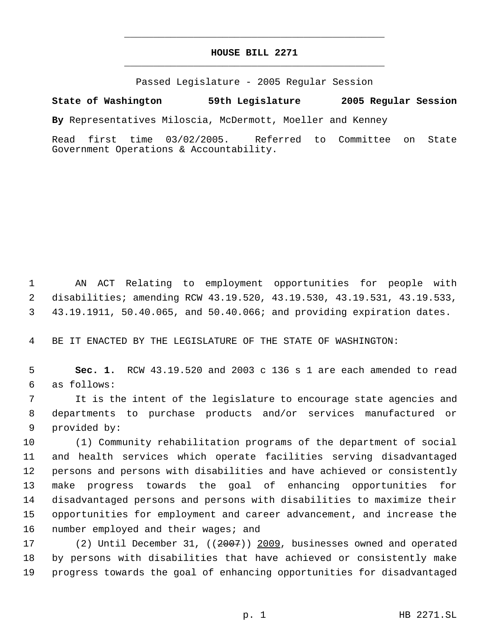## **HOUSE BILL 2271** \_\_\_\_\_\_\_\_\_\_\_\_\_\_\_\_\_\_\_\_\_\_\_\_\_\_\_\_\_\_\_\_\_\_\_\_\_\_\_\_\_\_\_\_\_

\_\_\_\_\_\_\_\_\_\_\_\_\_\_\_\_\_\_\_\_\_\_\_\_\_\_\_\_\_\_\_\_\_\_\_\_\_\_\_\_\_\_\_\_\_

Passed Legislature - 2005 Regular Session

**State of Washington 59th Legislature 2005 Regular Session**

**By** Representatives Miloscia, McDermott, Moeller and Kenney

Read first time 03/02/2005. Referred to Committee on State Government Operations & Accountability.

 AN ACT Relating to employment opportunities for people with disabilities; amending RCW 43.19.520, 43.19.530, 43.19.531, 43.19.533, 43.19.1911, 50.40.065, and 50.40.066; and providing expiration dates.

BE IT ENACTED BY THE LEGISLATURE OF THE STATE OF WASHINGTON:

 **Sec. 1.** RCW 43.19.520 and 2003 c 136 s 1 are each amended to read as follows:

 It is the intent of the legislature to encourage state agencies and departments to purchase products and/or services manufactured or provided by:

 (1) Community rehabilitation programs of the department of social and health services which operate facilities serving disadvantaged persons and persons with disabilities and have achieved or consistently make progress towards the goal of enhancing opportunities for disadvantaged persons and persons with disabilities to maximize their opportunities for employment and career advancement, and increase the 16 number employed and their wages; and

 (2) Until December 31, ((2007)) 2009, businesses owned and operated by persons with disabilities that have achieved or consistently make progress towards the goal of enhancing opportunities for disadvantaged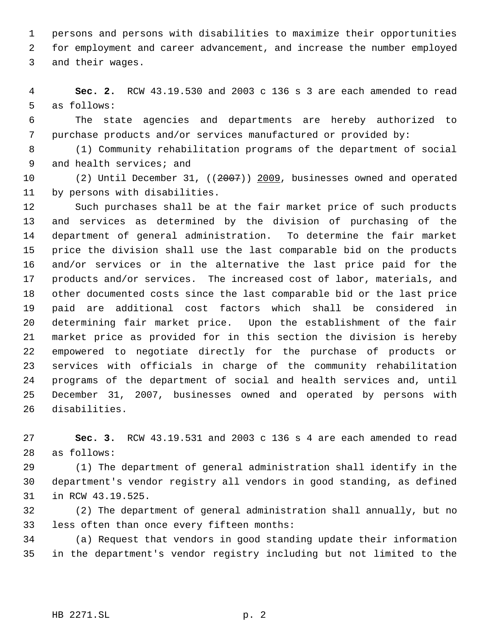persons and persons with disabilities to maximize their opportunities for employment and career advancement, and increase the number employed and their wages.

 **Sec. 2.** RCW 43.19.530 and 2003 c 136 s 3 are each amended to read as follows:

 The state agencies and departments are hereby authorized to purchase products and/or services manufactured or provided by:

 (1) Community rehabilitation programs of the department of social 9 and health services; and

 (2) Until December 31, ((2007)) 2009, businesses owned and operated by persons with disabilities.

 Such purchases shall be at the fair market price of such products and services as determined by the division of purchasing of the department of general administration. To determine the fair market price the division shall use the last comparable bid on the products and/or services or in the alternative the last price paid for the products and/or services. The increased cost of labor, materials, and other documented costs since the last comparable bid or the last price paid are additional cost factors which shall be considered in determining fair market price. Upon the establishment of the fair market price as provided for in this section the division is hereby empowered to negotiate directly for the purchase of products or services with officials in charge of the community rehabilitation programs of the department of social and health services and, until December 31, 2007, businesses owned and operated by persons with disabilities.

 **Sec. 3.** RCW 43.19.531 and 2003 c 136 s 4 are each amended to read as follows:

 (1) The department of general administration shall identify in the department's vendor registry all vendors in good standing, as defined in RCW 43.19.525.

 (2) The department of general administration shall annually, but no less often than once every fifteen months:

 (a) Request that vendors in good standing update their information in the department's vendor registry including but not limited to the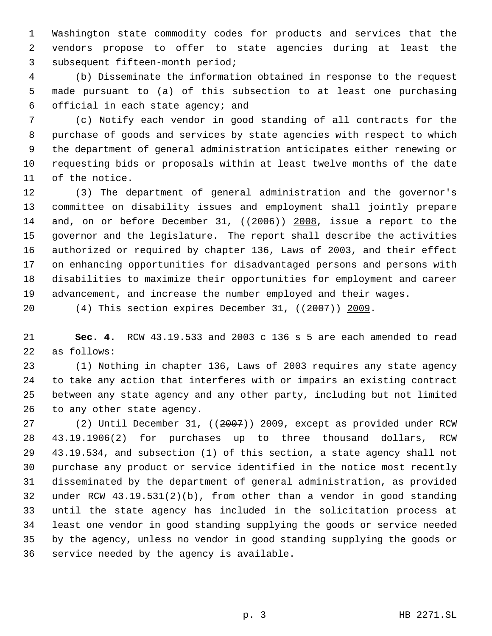Washington state commodity codes for products and services that the vendors propose to offer to state agencies during at least the subsequent fifteen-month period;

 (b) Disseminate the information obtained in response to the request made pursuant to (a) of this subsection to at least one purchasing official in each state agency; and

 (c) Notify each vendor in good standing of all contracts for the purchase of goods and services by state agencies with respect to which the department of general administration anticipates either renewing or requesting bids or proposals within at least twelve months of the date of the notice.

 (3) The department of general administration and the governor's committee on disability issues and employment shall jointly prepare 14 and, on or before December 31, ((2006)) 2008, issue a report to the governor and the legislature. The report shall describe the activities authorized or required by chapter 136, Laws of 2003, and their effect on enhancing opportunities for disadvantaged persons and persons with disabilities to maximize their opportunities for employment and career advancement, and increase the number employed and their wages.

20 (4) This section expires December 31, ((2007)) 2009.

 **Sec. 4.** RCW 43.19.533 and 2003 c 136 s 5 are each amended to read as follows:

 (1) Nothing in chapter 136, Laws of 2003 requires any state agency to take any action that interferes with or impairs an existing contract between any state agency and any other party, including but not limited to any other state agency.

 (2) Until December 31, ((2007)) 2009, except as provided under RCW 43.19.1906(2) for purchases up to three thousand dollars, RCW 43.19.534, and subsection (1) of this section, a state agency shall not purchase any product or service identified in the notice most recently disseminated by the department of general administration, as provided under RCW 43.19.531(2)(b), from other than a vendor in good standing until the state agency has included in the solicitation process at least one vendor in good standing supplying the goods or service needed by the agency, unless no vendor in good standing supplying the goods or service needed by the agency is available.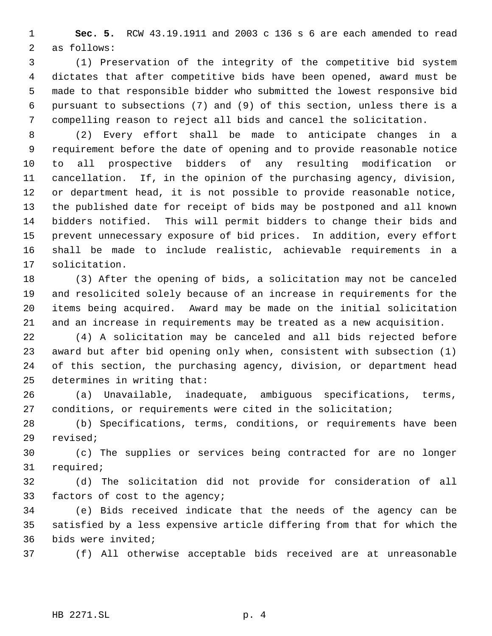**Sec. 5.** RCW 43.19.1911 and 2003 c 136 s 6 are each amended to read as follows:

 (1) Preservation of the integrity of the competitive bid system dictates that after competitive bids have been opened, award must be made to that responsible bidder who submitted the lowest responsive bid pursuant to subsections (7) and (9) of this section, unless there is a compelling reason to reject all bids and cancel the solicitation.

 (2) Every effort shall be made to anticipate changes in a requirement before the date of opening and to provide reasonable notice to all prospective bidders of any resulting modification or cancellation. If, in the opinion of the purchasing agency, division, or department head, it is not possible to provide reasonable notice, the published date for receipt of bids may be postponed and all known bidders notified. This will permit bidders to change their bids and prevent unnecessary exposure of bid prices. In addition, every effort shall be made to include realistic, achievable requirements in a solicitation.

 (3) After the opening of bids, a solicitation may not be canceled and resolicited solely because of an increase in requirements for the items being acquired. Award may be made on the initial solicitation and an increase in requirements may be treated as a new acquisition.

 (4) A solicitation may be canceled and all bids rejected before award but after bid opening only when, consistent with subsection (1) of this section, the purchasing agency, division, or department head determines in writing that:

 (a) Unavailable, inadequate, ambiguous specifications, terms, conditions, or requirements were cited in the solicitation;

 (b) Specifications, terms, conditions, or requirements have been revised;

 (c) The supplies or services being contracted for are no longer required;

 (d) The solicitation did not provide for consideration of all factors of cost to the agency;

 (e) Bids received indicate that the needs of the agency can be satisfied by a less expensive article differing from that for which the bids were invited;

(f) All otherwise acceptable bids received are at unreasonable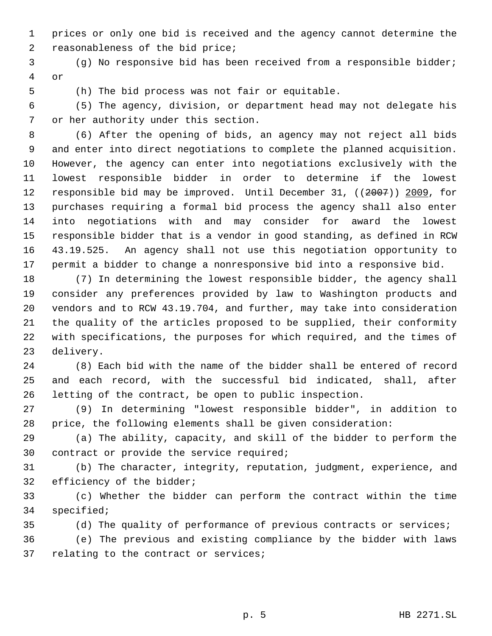prices or only one bid is received and the agency cannot determine the reasonableness of the bid price;

 (g) No responsive bid has been received from a responsible bidder; or

(h) The bid process was not fair or equitable.

 (5) The agency, division, or department head may not delegate his or her authority under this section.

 (6) After the opening of bids, an agency may not reject all bids and enter into direct negotiations to complete the planned acquisition. However, the agency can enter into negotiations exclusively with the lowest responsible bidder in order to determine if the lowest 12 responsible bid may be improved. Until December 31, ((2007)) 2009, for purchases requiring a formal bid process the agency shall also enter into negotiations with and may consider for award the lowest responsible bidder that is a vendor in good standing, as defined in RCW 43.19.525. An agency shall not use this negotiation opportunity to permit a bidder to change a nonresponsive bid into a responsive bid.

 (7) In determining the lowest responsible bidder, the agency shall consider any preferences provided by law to Washington products and vendors and to RCW 43.19.704, and further, may take into consideration the quality of the articles proposed to be supplied, their conformity with specifications, the purposes for which required, and the times of delivery.

 (8) Each bid with the name of the bidder shall be entered of record and each record, with the successful bid indicated, shall, after letting of the contract, be open to public inspection.

 (9) In determining "lowest responsible bidder", in addition to price, the following elements shall be given consideration:

 (a) The ability, capacity, and skill of the bidder to perform the contract or provide the service required;

 (b) The character, integrity, reputation, judgment, experience, and efficiency of the bidder;

 (c) Whether the bidder can perform the contract within the time specified;

(d) The quality of performance of previous contracts or services;

 (e) The previous and existing compliance by the bidder with laws relating to the contract or services;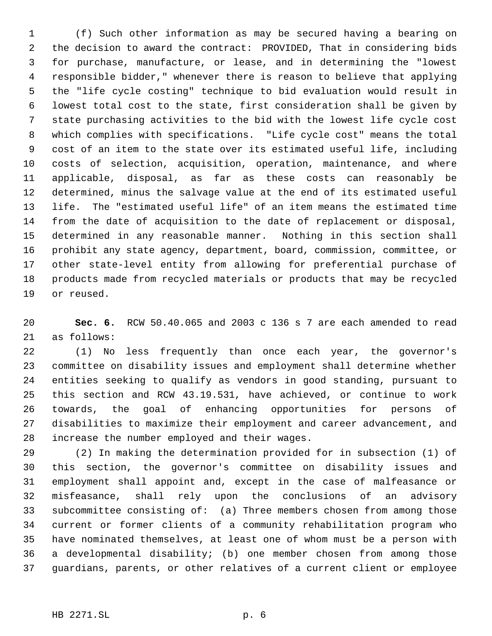(f) Such other information as may be secured having a bearing on the decision to award the contract: PROVIDED, That in considering bids for purchase, manufacture, or lease, and in determining the "lowest responsible bidder," whenever there is reason to believe that applying the "life cycle costing" technique to bid evaluation would result in lowest total cost to the state, first consideration shall be given by state purchasing activities to the bid with the lowest life cycle cost which complies with specifications. "Life cycle cost" means the total cost of an item to the state over its estimated useful life, including costs of selection, acquisition, operation, maintenance, and where applicable, disposal, as far as these costs can reasonably be determined, minus the salvage value at the end of its estimated useful life. The "estimated useful life" of an item means the estimated time from the date of acquisition to the date of replacement or disposal, determined in any reasonable manner. Nothing in this section shall prohibit any state agency, department, board, commission, committee, or other state-level entity from allowing for preferential purchase of products made from recycled materials or products that may be recycled or reused.

 **Sec. 6.** RCW 50.40.065 and 2003 c 136 s 7 are each amended to read as follows:

 (1) No less frequently than once each year, the governor's committee on disability issues and employment shall determine whether entities seeking to qualify as vendors in good standing, pursuant to this section and RCW 43.19.531, have achieved, or continue to work towards, the goal of enhancing opportunities for persons of disabilities to maximize their employment and career advancement, and increase the number employed and their wages.

 (2) In making the determination provided for in subsection (1) of this section, the governor's committee on disability issues and employment shall appoint and, except in the case of malfeasance or misfeasance, shall rely upon the conclusions of an advisory subcommittee consisting of: (a) Three members chosen from among those current or former clients of a community rehabilitation program who have nominated themselves, at least one of whom must be a person with a developmental disability; (b) one member chosen from among those guardians, parents, or other relatives of a current client or employee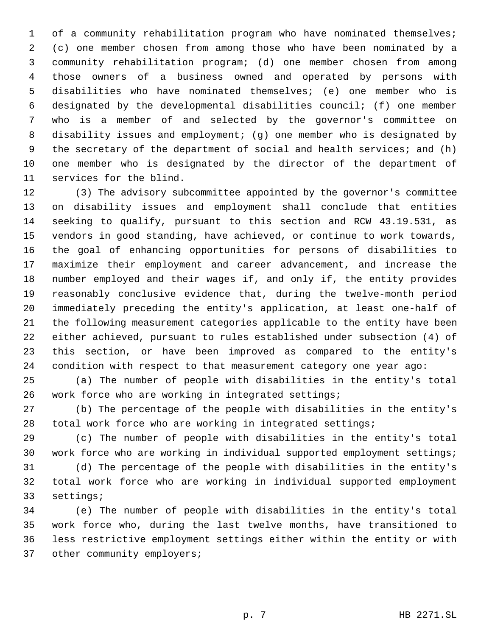1 of a community rehabilitation program who have nominated themselves; (c) one member chosen from among those who have been nominated by a community rehabilitation program; (d) one member chosen from among those owners of a business owned and operated by persons with disabilities who have nominated themselves; (e) one member who is designated by the developmental disabilities council; (f) one member who is a member of and selected by the governor's committee on disability issues and employment; (g) one member who is designated by the secretary of the department of social and health services; and (h) one member who is designated by the director of the department of services for the blind.

 (3) The advisory subcommittee appointed by the governor's committee on disability issues and employment shall conclude that entities seeking to qualify, pursuant to this section and RCW 43.19.531, as vendors in good standing, have achieved, or continue to work towards, the goal of enhancing opportunities for persons of disabilities to maximize their employment and career advancement, and increase the number employed and their wages if, and only if, the entity provides reasonably conclusive evidence that, during the twelve-month period immediately preceding the entity's application, at least one-half of the following measurement categories applicable to the entity have been either achieved, pursuant to rules established under subsection (4) of this section, or have been improved as compared to the entity's condition with respect to that measurement category one year ago:

 (a) The number of people with disabilities in the entity's total work force who are working in integrated settings;

 (b) The percentage of the people with disabilities in the entity's total work force who are working in integrated settings;

 (c) The number of people with disabilities in the entity's total work force who are working in individual supported employment settings;

 (d) The percentage of the people with disabilities in the entity's total work force who are working in individual supported employment settings;

 (e) The number of people with disabilities in the entity's total work force who, during the last twelve months, have transitioned to less restrictive employment settings either within the entity or with 37 other community employers;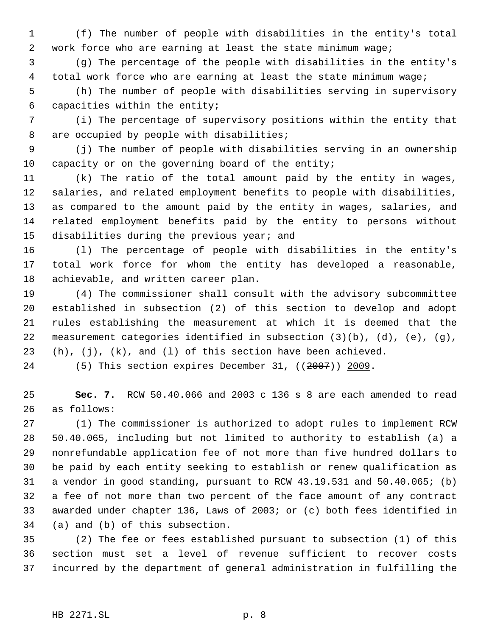(f) The number of people with disabilities in the entity's total work force who are earning at least the state minimum wage;

 (g) The percentage of the people with disabilities in the entity's total work force who are earning at least the state minimum wage;

 (h) The number of people with disabilities serving in supervisory capacities within the entity;

 (i) The percentage of supervisory positions within the entity that 8 are occupied by people with disabilities;

 (j) The number of people with disabilities serving in an ownership capacity or on the governing board of the entity;

 (k) The ratio of the total amount paid by the entity in wages, salaries, and related employment benefits to people with disabilities, as compared to the amount paid by the entity in wages, salaries, and related employment benefits paid by the entity to persons without disabilities during the previous year; and

 (l) The percentage of people with disabilities in the entity's total work force for whom the entity has developed a reasonable, achievable, and written career plan.

 (4) The commissioner shall consult with the advisory subcommittee established in subsection (2) of this section to develop and adopt rules establishing the measurement at which it is deemed that the 22 measurement categories identified in subsection  $(3)(b)$ ,  $(d)$ ,  $(e)$ ,  $(g)$ , (h), (j), (k), and (l) of this section have been achieved.

24 (5) This section expires December 31, ((2007)) 2009.

 **Sec. 7.** RCW 50.40.066 and 2003 c 136 s 8 are each amended to read as follows:

 (1) The commissioner is authorized to adopt rules to implement RCW 50.40.065, including but not limited to authority to establish (a) a nonrefundable application fee of not more than five hundred dollars to be paid by each entity seeking to establish or renew qualification as a vendor in good standing, pursuant to RCW 43.19.531 and 50.40.065; (b) a fee of not more than two percent of the face amount of any contract awarded under chapter 136, Laws of 2003; or (c) both fees identified in (a) and (b) of this subsection.

 (2) The fee or fees established pursuant to subsection (1) of this section must set a level of revenue sufficient to recover costs incurred by the department of general administration in fulfilling the